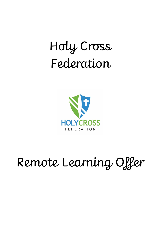## Holy Cross Federation



# Remote Learning Offer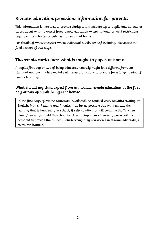## Remote education provision: information for parents

This information is intended to provide clarity and transparency to pupils and parents or carers about what to expect from remote education where national or local restrictions require entire cohorts (or bubbles) to remain at home.

For details of what to expect where individual pupils are self-isolating, please see the final section of this page.

## The remote curriculum: what is taught to pupils at home

A pupil's first day or two of being educated remotely might look different from our standard approach, while we take all necessary actions to prepare for a longer period of remote teaching.

#### What should my child expect from immediate remote education in the first day or two of pupils being sent home?

In the first days of remote education, pupils will be emailed with activities relating to English, Maths, Reading and Phonics – as far as possible this will replicate the learning that is happening in school, if self-isolation, or will continue the Teachers' plan of learning should the school be closed. Paper based learning packs will be prepared to provide the children with learning they can access in the immediate days of remote learning.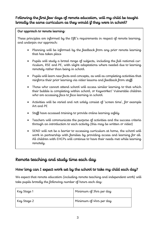#### Following the first few days of remote education, will my child be taught broadly the same curriculum as they would if they were in school?

#### Our approach to remote learning:

These principles are informed by the DfE's requirements in respect of remote learning, and underpin our approach:

- Planning will be informed by the feedback from any prior remote learning that has taken place
- Pupils will study a broad range of subjects, including the full national curriculum, RSE and PE, with slight adaptations where needed due to learning remotely rather than being in school.
- Pupils will learn new facts and concepts, as well as completing activities that reinforce their prior learning via video lessons and feedback from staff.
- Those who cannot attend school will access similar learning to that which their bubble is completing within school, or Keyworker/ Vulnerable children who are accessing face to face learning in school.
- Activities will be varied and not solely consist of 'screen time', for example Art and PE
- Staff have accessed training to provide online learning safely
- Teachers will communicate the purpose of activities and the success criteria through an introduction to each activity (this may be written or video)
- SEND will not be a barrier to accessing curriculum at home, the school will work in partnership with families by providing access and learning for all. All children with EHCPs will continue to have their needs met while learning remotely.

### Remote teaching and study time each day

#### How long can I expect work set by the school to take my child each day?

We expect that remote education (including remote teaching and independent work) will take pupils broadly the following number of hours each day:

| Key Stage 1 | Minimum of 3hrs per day |
|-------------|-------------------------|
| Key Stage 2 | Minimum of 4hrs per day |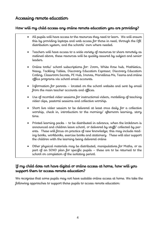### Accessing remote education

#### How will my child access any online remote education you are providing?

- All pupils will have access to the resources they need to learn. We will ensure this by providing laptops and web access for those in need, through the DfE distribution system, and the schools' own where needed.
- Teachers will have access to a wide variety of resources to share remotely as outlined above, these resources will be quality assured by subject and senior leaders.
- Online tools/ school subscriptions for: Zoom, White Rose hub, Mathletics, Nessy, Tackling Tables, Discovery Education Espresso, Discovery Education Coding, Classroom Secrets, PE Hub, Imoves, Marvellous Me, Teams and online office programs via school email accounts.
- Information for parents located on the school website and sent by email from the main teacher accounts and offices.
- Use of recorded video sessions for instructional videos, modelling of teaching video clips, pastoral sessions and collective worship.
- Short live video session to be delivered at least once daily for a collective worship, check in, introduction to the morning/ afternoon learning, story time.
- Printed learning packs to be distributed in advance, when the lockdown is announced and children leave school, or delivered by staff/ collected by parents. These will focus on practice of new knowledge; this may include reading books, workbooks, exercise books and stationery. These will also support the children with the learning being delivered online
- Other physical materials may be distributed, manipulatives for Maths, or as part of an SEND plan for specific pupils – these are to be returned to the school on completion of the isolating period.

#### If my child does not have digital or online access at home, how will you support them to access remote education?

We recognise that some pupils may not have suitable online access at home. We take the following approaches to support those pupils to access remote education: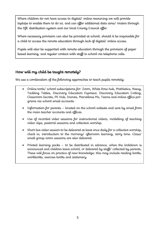Where children do not have access to digital/ online resourcing we will provide laptops to enable them to do so, and can offer additional data sims/ routers through the DfE distribution system and our local County Council offer.

Where necessary provision can also be provided at school, should it be impossible for a child to access the remote education through lack of digital/ online access.

Pupils will also be supported with remote education through the provision of paper based learning, and regular contact with staff in school via telephone calls.

#### How will my child be taught remotely?

We use a combination of the following approaches to teach pupils remotely:

- Online tools/ school subscriptions for: Zoom, White Rose hub, Mathletics, Nessy, Tackling Tables, Discovery Education Espresso, Discovery Education Coding, Classroom Secrets, PE Hub, Imoves, Marvellous Me, Teams and online office programs via school email accounts
- Information for parents located on the school website and sent by email from the main teacher accounts and offices.
- Use of recorded video sessions for instructional videos, modelling of teaching video clips, pastoral sessions and collective worship.
- Short live video session to be delivered at least once daily for a collective worship, check in, introduction to the morning/ afternoon learning, story time. Class/ small group zoom sessions are also delivered.
- Printed learning packs to be distributed in advance, when the lockdown is announced and children leave school, or delivered by staff/ collected by parents. These will focus on practice of new knowledge; this may include reading books, workbooks, exercise books and stationery.

 $\mathcal{O}(n)$  other physical materials materials materials materials materials materials  $\mathcal{O}(n)$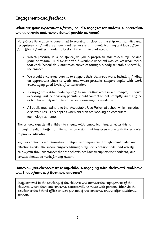## Engagement and feedback

#### What are your expectations for my child's engagement and the support that we as parents and carers should provide at home?

Holy Cross Federation is committed to working in close partnership with families and recognises each family is unique, and because of this remote learning will look different for different families in order to best suit their individual needs.

- Where possible, it is beneficial for young people to maintain a regular and familiar routine. In the event of a full bubble or school closure, we recommend that each 'school day' maintains structure through a daily timetable shared by the teacher.
- We would encourage parents to support their children's work, including finding an appropriate place to work, and where possible, support pupils with work encouraging good levels of concentration.
- Every effort will be made by staff to ensure that work is set promptly. Should accessing work be an issue, parents should contact school promptly via the office or teacher email, and alternative solutions may be available.
- All pupils must adhere to the 'Acceptable Use Policy' at school which includes e-safety rules. This applies when children are working on computers/ technology at home.

The schools expects all children to engage with remote learning, whether this is through the digital offer, or alternative provision that has been made with the schools to provide education.

Regular contact is maintained with all pupils and parents through email, video and telephone calls. The school reinforces through regular Teacher emails, and weekly email from the Headteacher that the schools are here to support their children, and contact should be made for any reason.

#### How will you check whether my child is engaging with their work and how will I be informed if there are concerns?

Staff involved in the teaching of the children will monitor the engagement of the children, where there are concerns, contact will be made with parents either via the Teacher or the School office to alert parents of the concerns, and to offer additional support.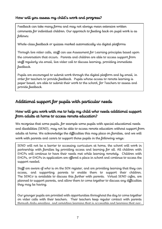#### How will you assess my child's work and progress?

Feedback can take many forms and may not always mean extensive written comments for individual children. Our approach to feeding back on pupil work is as follows:

Whole-class feedback or quizzes marked automatically via digital platforms

Through live video calls, staff can use Assessment for Learning principles based upon the conversation that occurs. Parents and children are able to access support from staff regularly via email, live video call to discuss learning, providing immediate feedback.

Pupils are encouraged to submit work through the digital platform and by email, in order for teachers to provide feedback. Pupils whose access to remote learning is paper based, are able to submit their work to the school, for Teachers to assess and provide feedback.

## Additional support for pupils with particular needs

#### How will you work with me to help my child who needs additional support from adults at home to access remote education?

We recognise that some pupils, for example some pupils with special educational needs and disabilities (SEND), may not be able to access remote education without support from adults at home. We acknowledge the difficulties this may place on families, and we will work with parents and carers to support those pupils in the following ways:

SEND will not be a barrier to accessing curriculum at home, the school will work in partnership with families by providing access and learning for all. All children with EHCPs will continue to have their needs met while learning remotely. Children with EHCPs, or EHCPs in application are offered a place in school and continue to access the support needed.

Staff are aware of who is on the SEN register, and are providing learning that they can access, and supporting parents to enable them to support their children. The SENCo is available to discuss this further with parents. Virtual SEND cafes, are planned to support parents, and allow them to come together to discuss any difficulties they may be having.

Our younger pupils are provided with opportunities throughout the day to come together on video calls with their teachers. Their teachers keep regular contact with parents through daily emailing, and providing learning that is accessible and learning that par-